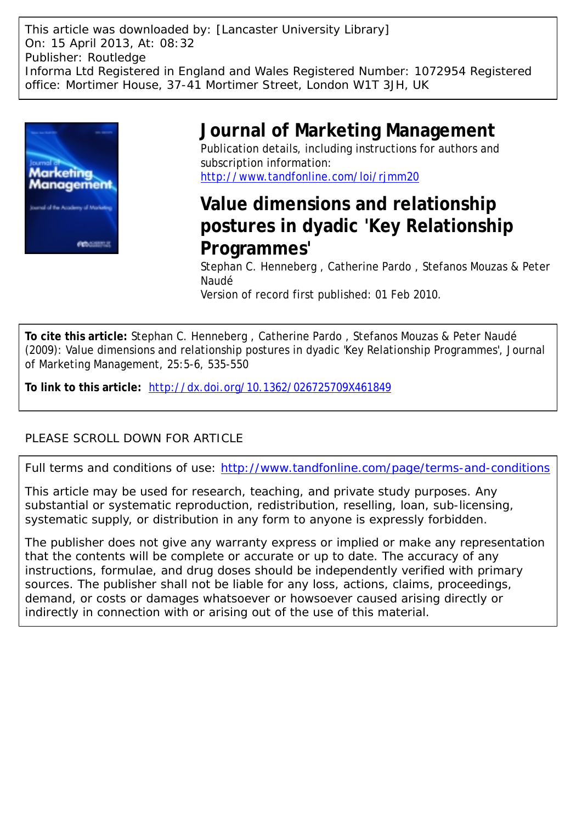This article was downloaded by: [Lancaster University Library] On: 15 April 2013, At: 08:32 Publisher: Routledge Informa Ltd Registered in England and Wales Registered Number: 1072954 Registered office: Mortimer House, 37-41 Mortimer Street, London W1T 3JH, UK



# **Journal of Marketing Management**

Publication details, including instructions for authors and subscription information: <http://www.tandfonline.com/loi/rjmm20>

# **Value dimensions and relationship postures in dyadic 'Key Relationship Programmes'**

Stephan C. Henneberg , Catherine Pardo , Stefanos Mouzas & Peter Naudé

Version of record first published: 01 Feb 2010.

**To cite this article:** Stephan C. Henneberg , Catherine Pardo , Stefanos Mouzas & Peter Naudé (2009): Value dimensions and relationship postures in dyadic 'Key Relationship Programmes', Journal of Marketing Management, 25:5-6, 535-550

**To link to this article:** <http://dx.doi.org/10.1362/026725709X461849>

### PLEASE SCROLL DOWN FOR ARTICLE

Full terms and conditions of use:<http://www.tandfonline.com/page/terms-and-conditions>

This article may be used for research, teaching, and private study purposes. Any substantial or systematic reproduction, redistribution, reselling, loan, sub-licensing, systematic supply, or distribution in any form to anyone is expressly forbidden.

The publisher does not give any warranty express or implied or make any representation that the contents will be complete or accurate or up to date. The accuracy of any instructions, formulae, and drug doses should be independently verified with primary sources. The publisher shall not be liable for any loss, actions, claims, proceedings, demand, or costs or damages whatsoever or howsoever caused arising directly or indirectly in connection with or arising out of the use of this material.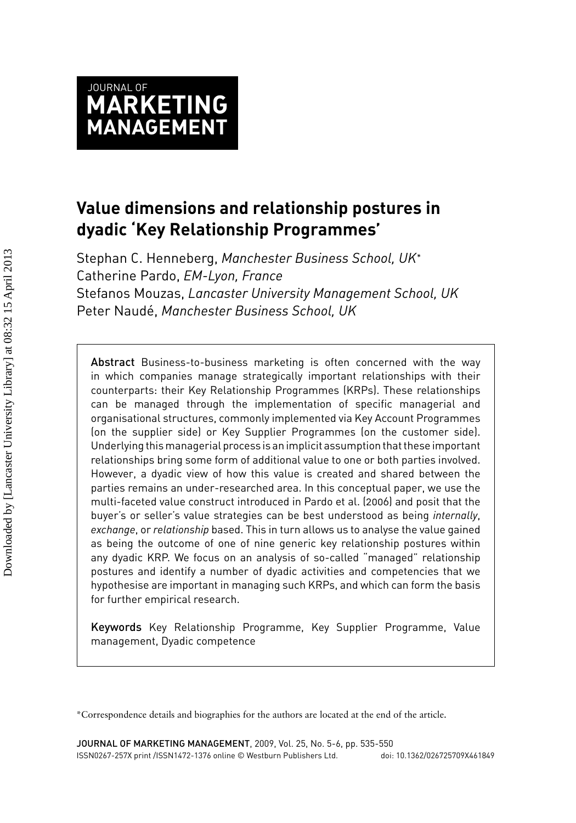# JOURNAL OF **MARKETING MANAGEMENT**

## **Value dimensions and relationship postures in dyadic 'Key Relationship Programmes'**

Stephan C. Henneberg, *Manchester Business School, UK\** Catherine Pardo, *EM-Lyon, France* Stefanos Mouzas, *Lancaster University Management School, UK* Peter Naudé, *Manchester Business School, UK*

Abstract Business-to-business marketing is often concerned with the way in which companies manage strategically important relationships with their counterparts: their Key Relationship Programmes (KRPs). These relationships can be managed through the implementation of specific managerial and organisational structures, commonly implemented via Key Account Programmes (on the supplier side) or Key Supplier Programmes (on the customer side). Underlying this managerial process is an implicit assumption that these important relationships bring some form of additional value to one or both parties involved. However, a dyadic view of how this value is created and shared between the parties remains an under-researched area. In this conceptual paper, we use the multi-faceted value construct introduced in Pardo et al. (2006) and posit that the buyer's or seller's value strategies can be best understood as being *internally*, *exchange*, or *relationship* based. This in turn allows us to analyse the value gained as being the outcome of one of nine generic key relationship postures within any dyadic KRP. We focus on an analysis of so-called "managed" relationship postures and identify a number of dyadic activities and competencies that we hypothesise are important in managing such KRPs, and which can form the basis for further empirical research.

Keywords Key Relationship Programme, Key Supplier Programme, Value management, Dyadic competence

\*Correspondence details and biographies for the authors are located at the end of the article.

JOURNAL OF MARKETING MANAGEMENT, 2009, Vol. 25, No. 5-6, pp. 535-550 ISSN0267-257X print /ISSN1472-1376 online © Westburn Publishers Ltd. doi: 10.1362/026725709X461849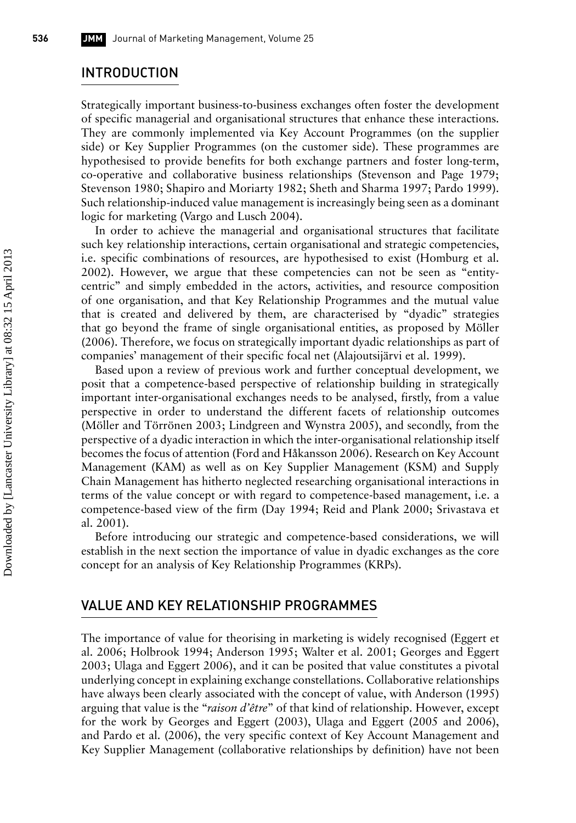#### INTRODUCTION

Strategically important business-to-business exchanges often foster the development of specific managerial and organisational structures that enhance these interactions. They are commonly implemented via Key Account Programmes (on the supplier side) or Key Supplier Programmes (on the customer side). These programmes are hypothesised to provide benefits for both exchange partners and foster long-term, co-operative and collaborative business relationships (Stevenson and Page 1979; Stevenson 1980; Shapiro and Moriarty 1982; Sheth and Sharma 1997; Pardo 1999). Such relationship-induced value management is increasingly being seen as a dominant logic for marketing (Vargo and Lusch 2004).

In order to achieve the managerial and organisational structures that facilitate such key relationship interactions, certain organisational and strategic competencies, i.e. specific combinations of resources, are hypothesised to exist (Homburg et al. 2002). However, we argue that these competencies can not be seen as "entitycentric" and simply embedded in the actors, activities, and resource composition of one organisation, and that Key Relationship Programmes and the mutual value that is created and delivered by them, are characterised by "dyadic" strategies that go beyond the frame of single organisational entities, as proposed by Möller (2006). Therefore, we focus on strategically important dyadic relationships as part of companies' management of their specific focal net (Alajoutsijärvi et al. 1999).

Based upon a review of previous work and further conceptual development, we posit that a competence-based perspective of relationship building in strategically important inter-organisational exchanges needs to be analysed, firstly, from a value perspective in order to understand the different facets of relationship outcomes (Möller and Törrönen 2003; Lindgreen and Wynstra 2005), and secondly, from the perspective of a dyadic interaction in which the inter-organisational relationship itself becomes the focus of attention (Ford and Håkansson 2006). Research on Key Account Management (KAM) as well as on Key Supplier Management (KSM) and Supply Chain Management has hitherto neglected researching organisational interactions in terms of the value concept or with regard to competence-based management, i.e. a competence-based view of the firm (Day 1994; Reid and Plank 2000; Srivastava et al. 2001).

Before introducing our strategic and competence-based considerations, we will establish in the next section the importance of value in dyadic exchanges as the core concept for an analysis of Key Relationship Programmes (KRPs).

#### VALUE AND KEY RELATIONSHIP PROGRAMMES

The importance of value for theorising in marketing is widely recognised (Eggert et al. 2006; Holbrook 1994; Anderson 1995; Walter et al. 2001; Georges and Eggert 2003; Ulaga and Eggert 2006), and it can be posited that value constitutes a pivotal underlying concept in explaining exchange constellations. Collaborative relationships have always been clearly associated with the concept of value, with Anderson (1995) arguing that value is the "*raison d'être*" of that kind of relationship. However, except for the work by Georges and Eggert (2003), Ulaga and Eggert (2005 and 2006), and Pardo et al. (2006), the very specific context of Key Account Management and Key Supplier Management (collaborative relationships by definition) have not been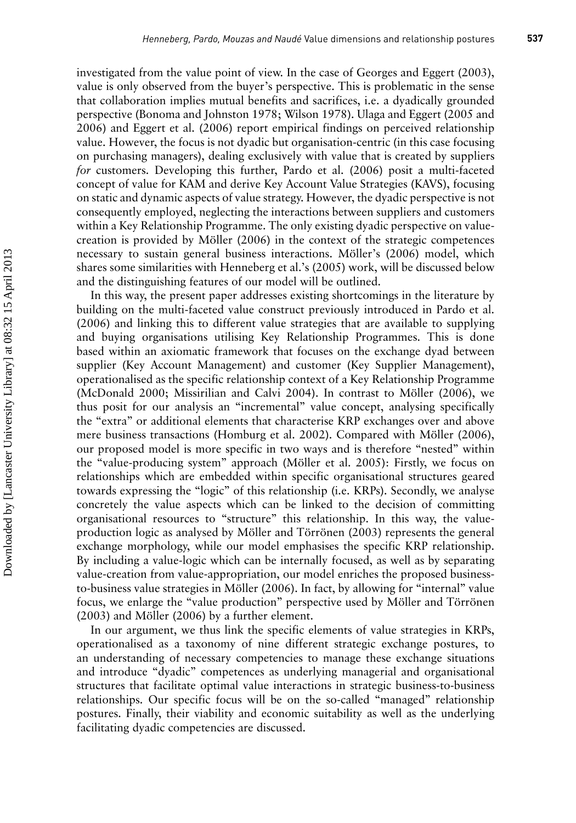investigated from the value point of view. In the case of Georges and Eggert (2003), value is only observed from the buyer's perspective. This is problematic in the sense that collaboration implies mutual benefits and sacrifices, i.e. a dyadically grounded perspective (Bonoma and Johnston 1978; Wilson 1978). Ulaga and Eggert (2005 and 2006) and Eggert et al. (2006) report empirical findings on perceived relationship value. However, the focus is not dyadic but organisation-centric (in this case focusing on purchasing managers), dealing exclusively with value that is created by suppliers *for* customers. Developing this further, Pardo et al. (2006) posit a multi-faceted concept of value for KAM and derive Key Account Value Strategies (KAVS), focusing on static and dynamic aspects of value strategy. However, the dyadic perspective is not consequently employed, neglecting the interactions between suppliers and customers within a Key Relationship Programme. The only existing dyadic perspective on valuecreation is provided by Möller (2006) in the context of the strategic competences necessary to sustain general business interactions. Möller's (2006) model, which shares some similarities with Henneberg et al.'s (2005) work, will be discussed below and the distinguishing features of our model will be outlined.

In this way, the present paper addresses existing shortcomings in the literature by building on the multi-faceted value construct previously introduced in Pardo et al. (2006) and linking this to different value strategies that are available to supplying and buying organisations utilising Key Relationship Programmes. This is done based within an axiomatic framework that focuses on the exchange dyad between supplier (Key Account Management) and customer (Key Supplier Management), operationalised as the specific relationship context of a Key Relationship Programme (McDonald 2000; Missirilian and Calvi 2004). In contrast to Möller (2006), we thus posit for our analysis an "incremental" value concept, analysing specifically the "extra" or additional elements that characterise KRP exchanges over and above mere business transactions (Homburg et al. 2002). Compared with Möller (2006), our proposed model is more specific in two ways and is therefore "nested" within the "value-producing system" approach (Möller et al. 2005): Firstly, we focus on relationships which are embedded within specific organisational structures geared towards expressing the "logic" of this relationship (i.e. KRPs). Secondly, we analyse concretely the value aspects which can be linked to the decision of committing organisational resources to "structure" this relationship. In this way, the valueproduction logic as analysed by Möller and Törrönen (2003) represents the general exchange morphology, while our model emphasises the specific KRP relationship. By including a value-logic which can be internally focused, as well as by separating value-creation from value-appropriation, our model enriches the proposed businessto-business value strategies in Möller (2006). In fact, by allowing for "internal" value focus, we enlarge the "value production" perspective used by Möller and Törrönen (2003) and Möller (2006) by a further element.

In our argument, we thus link the specific elements of value strategies in KRPs, operationalised as a taxonomy of nine different strategic exchange postures, to an understanding of necessary competencies to manage these exchange situations and introduce "dyadic" competences as underlying managerial and organisational structures that facilitate optimal value interactions in strategic business-to-business relationships. Our specific focus will be on the so-called "managed" relationship postures. Finally, their viability and economic suitability as well as the underlying facilitating dyadic competencies are discussed.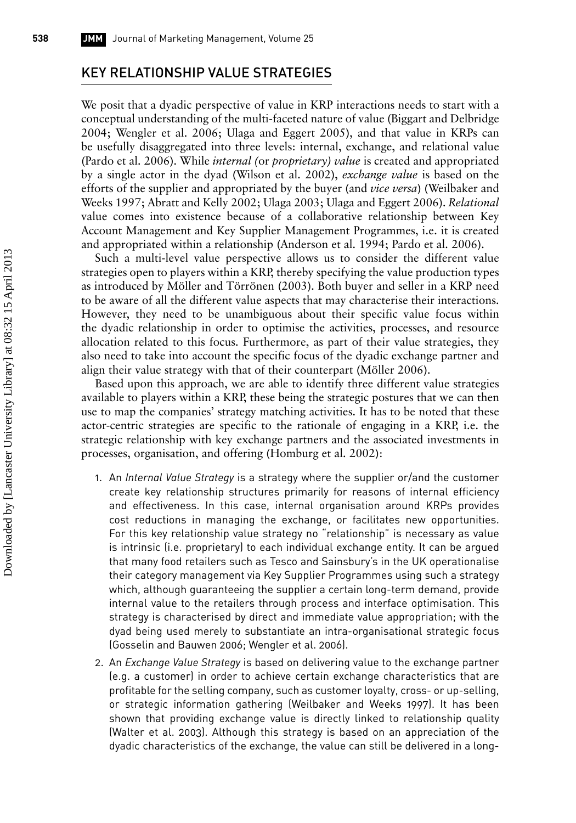### KEY RELATIONSHIP VALUE STRATEGIES

We posit that a dyadic perspective of value in KRP interactions needs to start with a conceptual understanding of the multi-faceted nature of value (Biggart and Delbridge 2004; Wengler et al. 2006; Ulaga and Eggert 2005), and that value in KRPs can be usefully disaggregated into three levels: internal, exchange, and relational value (Pardo et al. 2006). While *internal (*or *proprietary) value* is created and appropriated by a single actor in the dyad (Wilson et al. 2002), *exchange value* is based on the efforts of the supplier and appropriated by the buyer (and *vice versa*) (Weilbaker and Weeks 1997; Abratt and Kelly 2002; Ulaga 2003; Ulaga and Eggert 2006). *Relational* value comes into existence because of a collaborative relationship between Key Account Management and Key Supplier Management Programmes, i.e. it is created and appropriated within a relationship (Anderson et al. 1994; Pardo et al. 2006).

Such a multi-level value perspective allows us to consider the different value strategies open to players within a KRP, thereby specifying the value production types as introduced by Möller and Törrönen (2003). Both buyer and seller in a KRP need to be aware of all the different value aspects that may characterise their interactions. However, they need to be unambiguous about their specific value focus within the dyadic relationship in order to optimise the activities, processes, and resource allocation related to this focus. Furthermore, as part of their value strategies, they also need to take into account the specific focus of the dyadic exchange partner and align their value strategy with that of their counterpart (Möller 2006).

Based upon this approach, we are able to identify three different value strategies available to players within a KRP, these being the strategic postures that we can then use to map the companies' strategy matching activities. It has to be noted that these actor-centric strategies are specific to the rationale of engaging in a KRP, i.e. the strategic relationship with key exchange partners and the associated investments in processes, organisation, and offering (Homburg et al. 2002):

- 1. An *Internal Value Strategy* is a strategy where the supplier or/and the customer create key relationship structures primarily for reasons of internal efficiency and effectiveness. In this case, internal organisation around KRPs provides cost reductions in managing the exchange, or facilitates new opportunities. For this key relationship value strategy no "relationship" is necessary as value is intrinsic (i.e. proprietary) to each individual exchange entity. It can be argued that many food retailers such as Tesco and Sainsbury's in the UK operationalise their category management via Key Supplier Programmes using such a strategy which, although guaranteeing the supplier a certain long-term demand, provide internal value to the retailers through process and interface optimisation. This strategy is characterised by direct and immediate value appropriation; with the dyad being used merely to substantiate an intra-organisational strategic focus (Gosselin and Bauwen 2006; Wengler et al. 2006).
- 2. An *Exchange Value Strategy* is based on delivering value to the exchange partner (e.g. a customer) in order to achieve certain exchange characteristics that are profitable for the selling company, such as customer loyalty, cross- or up-selling, or strategic information gathering (Weilbaker and Weeks 1997). It has been shown that providing exchange value is directly linked to relationship quality (Walter et al. 2003). Although this strategy is based on an appreciation of the dyadic characteristics of the exchange, the value can still be delivered in a long-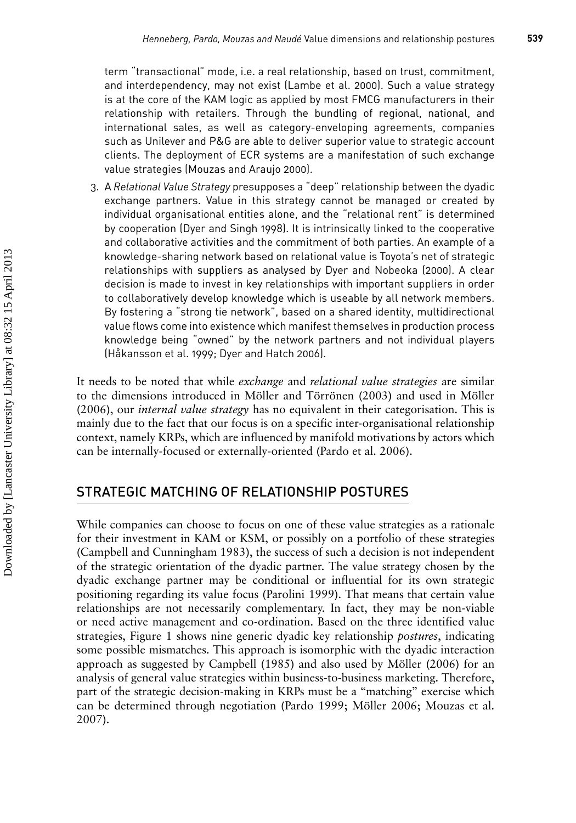term "transactional" mode, i.e. a real relationship, based on trust, commitment, and interdependency, may not exist (Lambe et al. 2000). Such a value strategy is at the core of the KAM logic as applied by most FMCG manufacturers in their relationship with retailers. Through the bundling of regional, national, and international sales, as well as category-enveloping agreements, companies such as Unilever and P&G are able to deliver superior value to strategic account clients. The deployment of ECR systems are a manifestation of such exchange value strategies (Mouzas and Araujo 2000).

3. A *Relational Value Strategy* presupposes a "deep" relationship between the dyadic exchange partners. Value in this strategy cannot be managed or created by individual organisational entities alone, and the "relational rent" is determined by cooperation (Dyer and Singh 1998). It is intrinsically linked to the cooperative and collaborative activities and the commitment of both parties. An example of a knowledge-sharing network based on relational value is Toyota's net of strategic relationships with suppliers as analysed by Dyer and Nobeoka (2000). A clear decision is made to invest in key relationships with important suppliers in order to collaboratively develop knowledge which is useable by all network members. By fostering a "strong tie network", based on a shared identity, multidirectional value flows come into existence which manifest themselves in production process knowledge being "owned" by the network partners and not individual players (Håkansson et al. 1999; Dyer and Hatch 2006).

It needs to be noted that while *exchange* and *relational value strategies* are similar to the dimensions introduced in Möller and Törrönen (2003) and used in Möller (2006), our *internal value strategy* has no equivalent in their categorisation. This is mainly due to the fact that our focus is on a specific inter-organisational relationship context, namely KRPs, which are influenced by manifold motivations by actors which can be internally-focused or externally-oriented (Pardo et al. 2006).

#### STRATEGIC MATCHING OF RELATIONSHIP POSTURES

While companies can choose to focus on one of these value strategies as a rationale for their investment in KAM or KSM, or possibly on a portfolio of these strategies (Campbell and Cunningham 1983), the success of such a decision is not independent of the strategic orientation of the dyadic partner. The value strategy chosen by the dyadic exchange partner may be conditional or influential for its own strategic positioning regarding its value focus (Parolini 1999). That means that certain value relationships are not necessarily complementary. In fact, they may be non-viable or need active management and co-ordination. Based on the three identified value strategies, Figure 1 shows nine generic dyadic key relationship *postures*, indicating some possible mismatches. This approach is isomorphic with the dyadic interaction approach as suggested by Campbell (1985) and also used by Möller (2006) for an analysis of general value strategies within business-to-business marketing. Therefore, part of the strategic decision-making in KRPs must be a "matching" exercise which can be determined through negotiation (Pardo 1999; Möller 2006; Mouzas et al. 2007).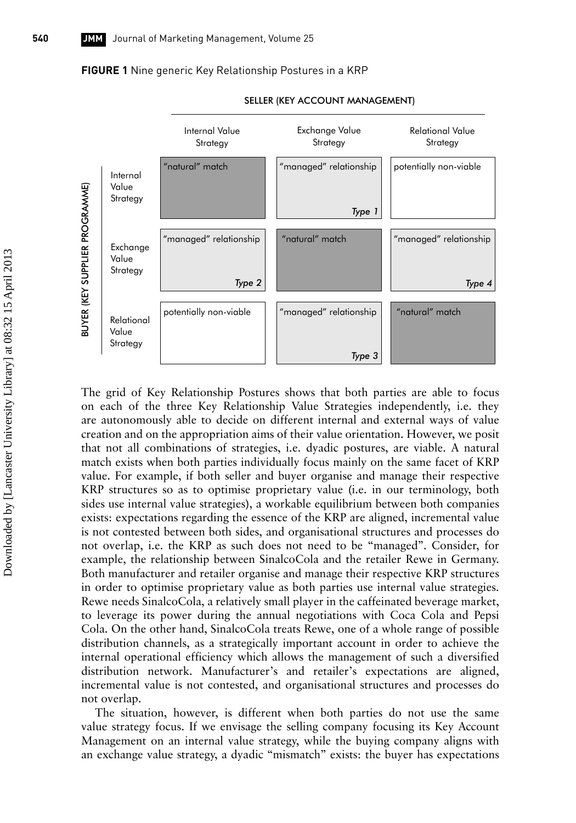#### **FIGURE 1** Nine generic Key Relationship Postures in a KRP



SELLER (KEY ACCOUNT MANAGEMENT)

The grid of Key Relationship Postures shows that both parties are able to focus on each of the three Key Relationship Value Strategies independently, i.e. they are autonomously able to decide on different internal and external ways of value creation and on the appropriation aims of their value orientation. However, we posit that not all combinations of strategies, i.e. dyadic postures, are viable. A natural match exists when both parties individually focus mainly on the same facet of KRP value. For example, if both seller and buyer organise and manage their respective KRP structures so as to optimise proprietary value (i.e. in our terminology, both sides use internal value strategies), a workable equilibrium between both companies exists: expectations regarding the essence of the KRP are aligned, incremental value is not contested between both sides, and organisational structures and processes do not overlap, i.e. the KRP as such does not need to be "managed". Consider, for example, the relationship between SinalcoCola and the retailer Rewe in Germany. Both manufacturer and retailer organise and manage their respective KRP structures in order to optimise proprietary value as both parties use internal value strategies. Rewe needs SinalcoCola, a relatively small player in the caffeinated beverage market, to leverage its power during the annual negotiations with Coca Cola and Pepsi Cola. On the other hand, SinalcoCola treats Rewe, one of a whole range of possible distribution channels, as a strategically important account in order to achieve the internal operational efficiency which allows the management of such a diversified distribution network. Manufacturer's and retailer's expectations are aligned, incremental value is not contested, and organisational structures and processes do not overlap.

The situation, however, is different when both parties do not use the same value strategy focus. If we envisage the selling company focusing its Key Account Management on an internal value strategy, while the buying company aligns with an exchange value strategy, a dyadic "mismatch" exists: the buyer has expectations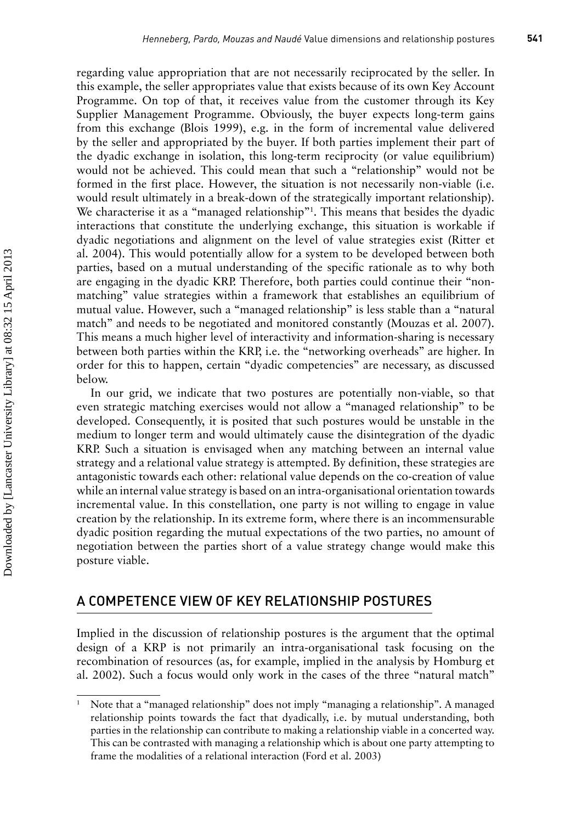regarding value appropriation that are not necessarily reciprocated by the seller. In this example, the seller appropriates value that exists because of its own Key Account Programme. On top of that, it receives value from the customer through its Key Supplier Management Programme. Obviously, the buyer expects long-term gains from this exchange (Blois 1999), e.g. in the form of incremental value delivered by the seller and appropriated by the buyer. If both parties implement their part of the dyadic exchange in isolation, this long-term reciprocity (or value equilibrium) would not be achieved. This could mean that such a "relationship" would not be formed in the first place. However, the situation is not necessarily non-viable (i.e. would result ultimately in a break-down of the strategically important relationship). We characterise it as a "managed relationship"<sup>1</sup>. This means that besides the dyadic interactions that constitute the underlying exchange, this situation is workable if dyadic negotiations and alignment on the level of value strategies exist (Ritter et al. 2004). This would potentially allow for a system to be developed between both parties, based on a mutual understanding of the specific rationale as to why both are engaging in the dyadic KRP. Therefore, both parties could continue their "nonmatching" value strategies within a framework that establishes an equilibrium of mutual value. However, such a "managed relationship" is less stable than a "natural match" and needs to be negotiated and monitored constantly (Mouzas et al. 2007). This means a much higher level of interactivity and information-sharing is necessary between both parties within the KRP, i.e. the "networking overheads" are higher. In order for this to happen, certain "dyadic competencies" are necessary, as discussed below.

In our grid, we indicate that two postures are potentially non-viable, so that even strategic matching exercises would not allow a "managed relationship" to be developed. Consequently, it is posited that such postures would be unstable in the medium to longer term and would ultimately cause the disintegration of the dyadic KRP. Such a situation is envisaged when any matching between an internal value strategy and a relational value strategy is attempted. By definition, these strategies are antagonistic towards each other: relational value depends on the co-creation of value while an internal value strategy is based on an intra-organisational orientation towards incremental value. In this constellation, one party is not willing to engage in value creation by the relationship. In its extreme form, where there is an incommensurable dyadic position regarding the mutual expectations of the two parties, no amount of negotiation between the parties short of a value strategy change would make this posture viable.

### A COMPETENCE VIEW OF KEY RELATIONSHIP POSTURES

Implied in the discussion of relationship postures is the argument that the optimal design of a KRP is not primarily an intra-organisational task focusing on the recombination of resources (as, for example, implied in the analysis by Homburg et al. 2002). Such a focus would only work in the cases of the three "natural match"

<sup>1</sup> Note that a "managed relationship" does not imply "managing a relationship". A managed relationship points towards the fact that dyadically, i.e. by mutual understanding, both parties in the relationship can contribute to making a relationship viable in a concerted way. This can be contrasted with managing a relationship which is about one party attempting to frame the modalities of a relational interaction (Ford et al. 2003)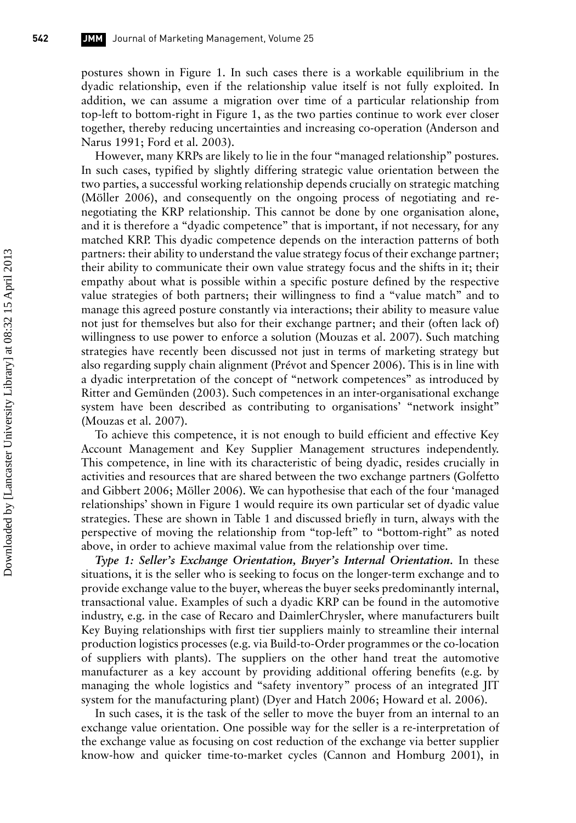postures shown in Figure 1. In such cases there is a workable equilibrium in the dyadic relationship, even if the relationship value itself is not fully exploited. In addition, we can assume a migration over time of a particular relationship from top-left to bottom-right in Figure 1, as the two parties continue to work ever closer together, thereby reducing uncertainties and increasing co-operation (Anderson and Narus 1991; Ford et al. 2003).

However, many KRPs are likely to lie in the four "managed relationship" postures. In such cases, typified by slightly differing strategic value orientation between the two parties, a successful working relationship depends crucially on strategic matching (Möller 2006), and consequently on the ongoing process of negotiating and renegotiating the KRP relationship. This cannot be done by one organisation alone, and it is therefore a "dyadic competence" that is important, if not necessary, for any matched KRP. This dyadic competence depends on the interaction patterns of both partners: their ability to understand the value strategy focus of their exchange partner; their ability to communicate their own value strategy focus and the shifts in it; their empathy about what is possible within a specific posture defined by the respective value strategies of both partners; their willingness to find a "value match" and to manage this agreed posture constantly via interactions; their ability to measure value not just for themselves but also for their exchange partner; and their (often lack of) willingness to use power to enforce a solution (Mouzas et al. 2007). Such matching strategies have recently been discussed not just in terms of marketing strategy but also regarding supply chain alignment (Prévot and Spencer 2006). This is in line with a dyadic interpretation of the concept of "network competences" as introduced by Ritter and Gemünden (2003). Such competences in an inter-organisational exchange system have been described as contributing to organisations' "network insight" (Mouzas et al. 2007).

To achieve this competence, it is not enough to build efficient and effective Key Account Management and Key Supplier Management structures independently. This competence, in line with its characteristic of being dyadic, resides crucially in activities and resources that are shared between the two exchange partners (Golfetto and Gibbert 2006; Möller 2006). We can hypothesise that each of the four 'managed relationships' shown in Figure 1 would require its own particular set of dyadic value strategies. These are shown in Table 1 and discussed briefly in turn, always with the perspective of moving the relationship from "top-left" to "bottom-right" as noted above, in order to achieve maximal value from the relationship over time.

*Type 1: Seller's Exchange Orientation, Buyer's Internal Orientation.* In these situations, it is the seller who is seeking to focus on the longer-term exchange and to provide exchange value to the buyer, whereas the buyer seeks predominantly internal, transactional value. Examples of such a dyadic KRP can be found in the automotive industry, e.g. in the case of Recaro and DaimlerChrysler, where manufacturers built Key Buying relationships with first tier suppliers mainly to streamline their internal production logistics processes (e.g. via Build-to-Order programmes or the co-location of suppliers with plants). The suppliers on the other hand treat the automotive manufacturer as a key account by providing additional offering benefits (e.g. by managing the whole logistics and "safety inventory" process of an integrated JIT system for the manufacturing plant) (Dyer and Hatch 2006; Howard et al. 2006).

In such cases, it is the task of the seller to move the buyer from an internal to an exchange value orientation. One possible way for the seller is a re-interpretation of the exchange value as focusing on cost reduction of the exchange via better supplier know-how and quicker time-to-market cycles (Cannon and Homburg 2001), in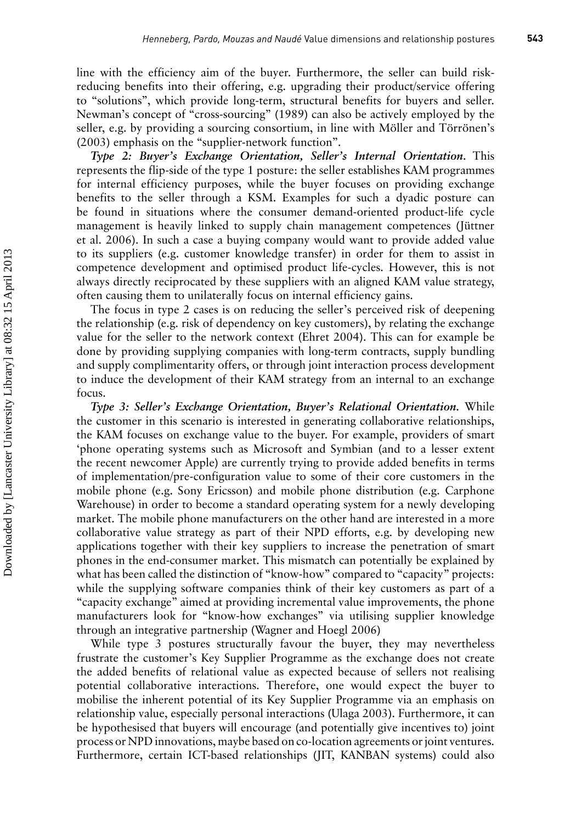line with the efficiency aim of the buyer. Furthermore, the seller can build riskreducing benefits into their offering, e.g. upgrading their product/service offering to "solutions", which provide long-term, structural benefits for buyers and seller. Newman's concept of "cross-sourcing" (1989) can also be actively employed by the seller, e.g. by providing a sourcing consortium, in line with Möller and Törrönen's (2003) emphasis on the "supplier-network function".

*Type 2: Buyer's Exchange Orientation, Seller's Internal Orientation.* This represents the flip-side of the type 1 posture: the seller establishes KAM programmes for internal efficiency purposes, while the buyer focuses on providing exchange benefits to the seller through a KSM. Examples for such a dyadic posture can be found in situations where the consumer demand-oriented product-life cycle management is heavily linked to supply chain management competences (Jüttner et al. 2006). In such a case a buying company would want to provide added value to its suppliers (e.g. customer knowledge transfer) in order for them to assist in competence development and optimised product life-cycles. However, this is not always directly reciprocated by these suppliers with an aligned KAM value strategy, often causing them to unilaterally focus on internal efficiency gains.

The focus in type 2 cases is on reducing the seller's perceived risk of deepening the relationship (e.g. risk of dependency on key customers), by relating the exchange value for the seller to the network context (Ehret 2004). This can for example be done by providing supplying companies with long-term contracts, supply bundling and supply complimentarity offers, or through joint interaction process development to induce the development of their KAM strategy from an internal to an exchange focus.

*Type 3: Seller's Exchange Orientation, Buyer's Relational Orientation.* While the customer in this scenario is interested in generating collaborative relationships, the KAM focuses on exchange value to the buyer. For example, providers of smart 'phone operating systems such as Microsoft and Symbian (and to a lesser extent the recent newcomer Apple) are currently trying to provide added benefits in terms of implementation/pre-configuration value to some of their core customers in the mobile phone (e.g. Sony Ericsson) and mobile phone distribution (e.g. Carphone Warehouse) in order to become a standard operating system for a newly developing market. The mobile phone manufacturers on the other hand are interested in a more collaborative value strategy as part of their NPD efforts, e.g. by developing new applications together with their key suppliers to increase the penetration of smart phones in the end-consumer market. This mismatch can potentially be explained by what has been called the distinction of "know-how" compared to "capacity" projects: while the supplying software companies think of their key customers as part of a "capacity exchange" aimed at providing incremental value improvements, the phone manufacturers look for "know-how exchanges" via utilising supplier knowledge through an integrative partnership (Wagner and Hoegl 2006)

While type 3 postures structurally favour the buyer, they may nevertheless frustrate the customer's Key Supplier Programme as the exchange does not create the added benefits of relational value as expected because of sellers not realising potential collaborative interactions. Therefore, one would expect the buyer to mobilise the inherent potential of its Key Supplier Programme via an emphasis on relationship value, especially personal interactions (Ulaga 2003). Furthermore, it can be hypothesised that buyers will encourage (and potentially give incentives to) joint process or NPD innovations, maybe based on co-location agreements or joint ventures. Furthermore, certain ICT-based relationships (JIT, KANBAN systems) could also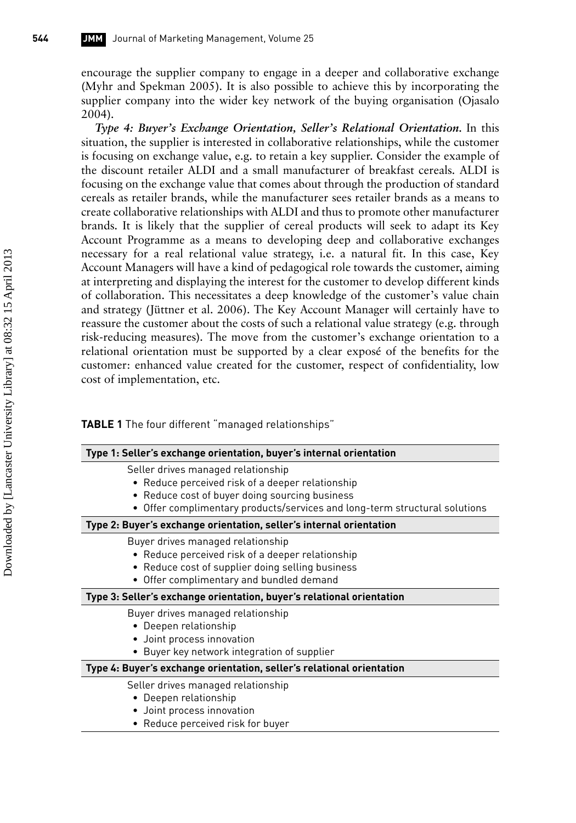encourage the supplier company to engage in a deeper and collaborative exchange (Myhr and Spekman 2005). It is also possible to achieve this by incorporating the supplier company into the wider key network of the buying organisation (Ojasalo 2004).

*Type 4: Buyer's Exchange Orientation, Seller's Relational Orientation.* In this situation, the supplier is interested in collaborative relationships, while the customer is focusing on exchange value, e.g. to retain a key supplier. Consider the example of the discount retailer ALDI and a small manufacturer of breakfast cereals. ALDI is focusing on the exchange value that comes about through the production of standard cereals as retailer brands, while the manufacturer sees retailer brands as a means to create collaborative relationships with ALDI and thus to promote other manufacturer brands. It is likely that the supplier of cereal products will seek to adapt its Key Account Programme as a means to developing deep and collaborative exchanges necessary for a real relational value strategy, i.e. a natural fit. In this case, Key Account Managers will have a kind of pedagogical role towards the customer, aiming at interpreting and displaying the interest for the customer to develop different kinds of collaboration. This necessitates a deep knowledge of the customer's value chain and strategy (Jüttner et al. 2006). The Key Account Manager will certainly have to reassure the customer about the costs of such a relational value strategy (e.g. through risk-reducing measures). The move from the customer's exchange orientation to a relational orientation must be supported by a clear exposé of the benefits for the customer: enhanced value created for the customer, respect of confidentiality, low cost of implementation, etc.

**TABLE 1** The four different "managed relationships"

| Type 1: Seller's exchange orientation, buyer's internal orientation      |
|--------------------------------------------------------------------------|
| Seller drives managed relationship                                       |
| • Reduce perceived risk of a deeper relationship                         |
| • Reduce cost of buyer doing sourcing business                           |
| Offer complimentary products/services and long-term structural solutions |
| Type 2: Buyer's exchange orientation, seller's internal orientation      |
| Buyer drives managed relationship                                        |
| • Reduce perceived risk of a deeper relationship                         |
| • Reduce cost of supplier doing selling business                         |
| • Offer complimentary and bundled demand                                 |
| Type 3: Seller's exchange orientation, buyer's relational orientation    |
| Buyer drives managed relationship                                        |
| · Deepen relationship                                                    |
| • Joint process innovation                                               |
| • Buyer key network integration of supplier                              |
| Type 4: Buyer's exchange orientation, seller's relational orientation    |
| Seller drives managed relationship                                       |
| • Deepen relationship                                                    |
| • Joint process innovation                                               |
|                                                                          |

• Reduce perceived risk for buyer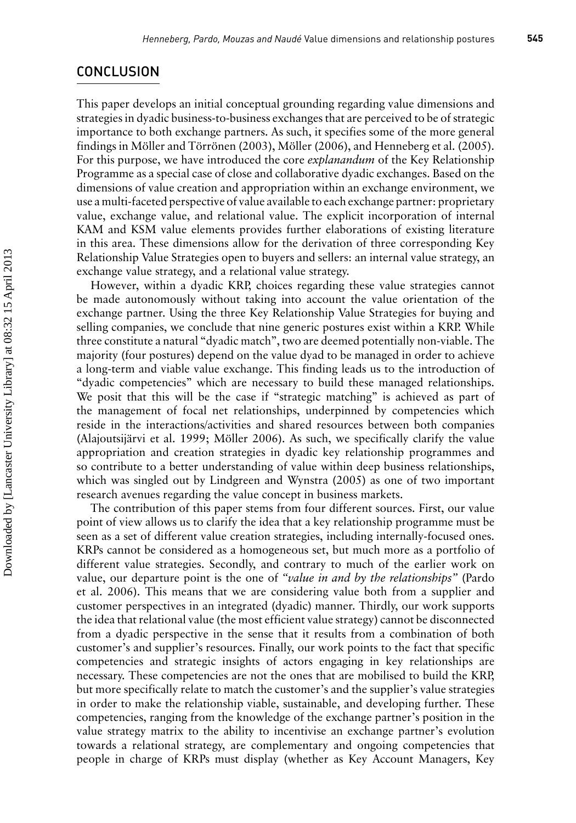#### CONCLUSION

This paper develops an initial conceptual grounding regarding value dimensions and strategies in dyadic business-to-business exchanges that are perceived to be of strategic importance to both exchange partners. As such, it specifies some of the more general findings in Möller and Törrönen (2003), Möller (2006), and Henneberg et al. (2005). For this purpose, we have introduced the core *explanandum* of the Key Relationship Programme as a special case of close and collaborative dyadic exchanges. Based on the dimensions of value creation and appropriation within an exchange environment, we use a multi-faceted perspective of value available to each exchange partner: proprietary value, exchange value, and relational value. The explicit incorporation of internal KAM and KSM value elements provides further elaborations of existing literature in this area. These dimensions allow for the derivation of three corresponding Key Relationship Value Strategies open to buyers and sellers: an internal value strategy, an exchange value strategy, and a relational value strategy.

However, within a dyadic KRP, choices regarding these value strategies cannot be made autonomously without taking into account the value orientation of the exchange partner. Using the three Key Relationship Value Strategies for buying and selling companies, we conclude that nine generic postures exist within a KRP. While three constitute a natural "dyadic match", two are deemed potentially non-viable. The majority (four postures) depend on the value dyad to be managed in order to achieve a long-term and viable value exchange. This finding leads us to the introduction of "dyadic competencies" which are necessary to build these managed relationships. We posit that this will be the case if "strategic matching" is achieved as part of the management of focal net relationships, underpinned by competencies which reside in the interactions/activities and shared resources between both companies (Alajoutsijärvi et al. 1999; Möller 2006). As such, we specifically clarify the value appropriation and creation strategies in dyadic key relationship programmes and so contribute to a better understanding of value within deep business relationships, which was singled out by Lindgreen and Wynstra (2005) as one of two important research avenues regarding the value concept in business markets.

The contribution of this paper stems from four different sources. First, our value point of view allows us to clarify the idea that a key relationship programme must be seen as a set of different value creation strategies, including internally-focused ones. KRPs cannot be considered as a homogeneous set, but much more as a portfolio of different value strategies. Secondly, and contrary to much of the earlier work on value, our departure point is the one of *"value in and by the relationships"* (Pardo et al. 2006). This means that we are considering value both from a supplier and customer perspectives in an integrated (dyadic) manner. Thirdly, our work supports the idea that relational value (the most efficient value strategy) cannot be disconnected from a dyadic perspective in the sense that it results from a combination of both customer's and supplier's resources. Finally, our work points to the fact that specific competencies and strategic insights of actors engaging in key relationships are necessary. These competencies are not the ones that are mobilised to build the KRP, but more specifically relate to match the customer's and the supplier's value strategies in order to make the relationship viable, sustainable, and developing further. These competencies, ranging from the knowledge of the exchange partner's position in the value strategy matrix to the ability to incentivise an exchange partner's evolution towards a relational strategy, are complementary and ongoing competencies that people in charge of KRPs must display (whether as Key Account Managers, Key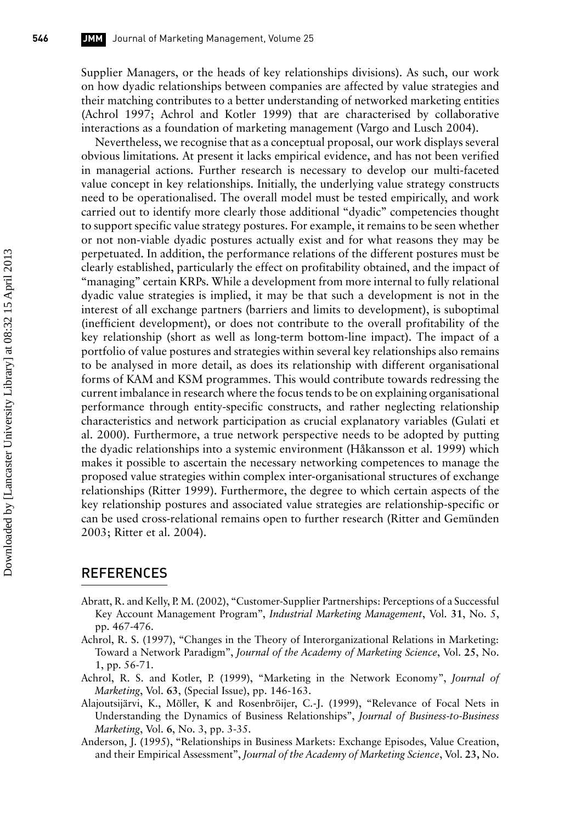Supplier Managers, or the heads of key relationships divisions). As such, our work on how dyadic relationships between companies are affected by value strategies and their matching contributes to a better understanding of networked marketing entities (Achrol 1997; Achrol and Kotler 1999) that are characterised by collaborative interactions as a foundation of marketing management (Vargo and Lusch 2004).

Nevertheless, we recognise that as a conceptual proposal, our work displays several obvious limitations. At present it lacks empirical evidence, and has not been verified in managerial actions. Further research is necessary to develop our multi-faceted value concept in key relationships. Initially, the underlying value strategy constructs need to be operationalised. The overall model must be tested empirically, and work carried out to identify more clearly those additional "dyadic" competencies thought to support specific value strategy postures. For example, it remains to be seen whether or not non-viable dyadic postures actually exist and for what reasons they may be perpetuated. In addition, the performance relations of the different postures must be clearly established, particularly the effect on profitability obtained, and the impact of "managing" certain KRPs. While a development from more internal to fully relational dyadic value strategies is implied, it may be that such a development is not in the interest of all exchange partners (barriers and limits to development), is suboptimal (inefficient development), or does not contribute to the overall profitability of the key relationship (short as well as long-term bottom-line impact). The impact of a portfolio of value postures and strategies within several key relationships also remains to be analysed in more detail, as does its relationship with different organisational forms of KAM and KSM programmes. This would contribute towards redressing the current imbalance in research where the focus tends to be on explaining organisational performance through entity-specific constructs, and rather neglecting relationship characteristics and network participation as crucial explanatory variables (Gulati et al. 2000). Furthermore, a true network perspective needs to be adopted by putting the dyadic relationships into a systemic environment (Håkansson et al. 1999) which makes it possible to ascertain the necessary networking competences to manage the proposed value strategies within complex inter-organisational structures of exchange relationships (Ritter 1999). Furthermore, the degree to which certain aspects of the key relationship postures and associated value strategies are relationship-specific or can be used cross-relational remains open to further research (Ritter and Gemünden 2003; Ritter et al. 2004).

### **REFERENCES**

- Abratt, R. and Kelly, P. M. (2002), "Customer-Supplier Partnerships: Perceptions of a Successful Key Account Management Program", *Industrial Marketing Management*, Vol. **31**, No. 5, pp. 467-476.
- Achrol, R. S. (1997), "Changes in the Theory of Interorganizational Relations in Marketing: Toward a Network Paradigm", *Journal of the Academy of Marketing Science*, Vol. **25**, No. 1, pp. 56-71.
- Achrol, R. S. and Kotler, P. (1999), "Marketing in the Network Economy", *Journal of Marketing*, Vol. **63**, (Special Issue), pp. 146-163.
- Alajoutsijärvi, K., Möller, K and Rosenbröijer, C.-J. (1999), "Relevance of Focal Nets in Understanding the Dynamics of Business Relationships", *Journal of Business-to-Business Marketing*, Vol. **6**, No. 3, pp. 3-35.
- Anderson, J. (1995), "Relationships in Business Markets: Exchange Episodes, Value Creation, and their Empirical Assessment", *Journal of the Academy of Marketing Science*, Vol. **23,** No.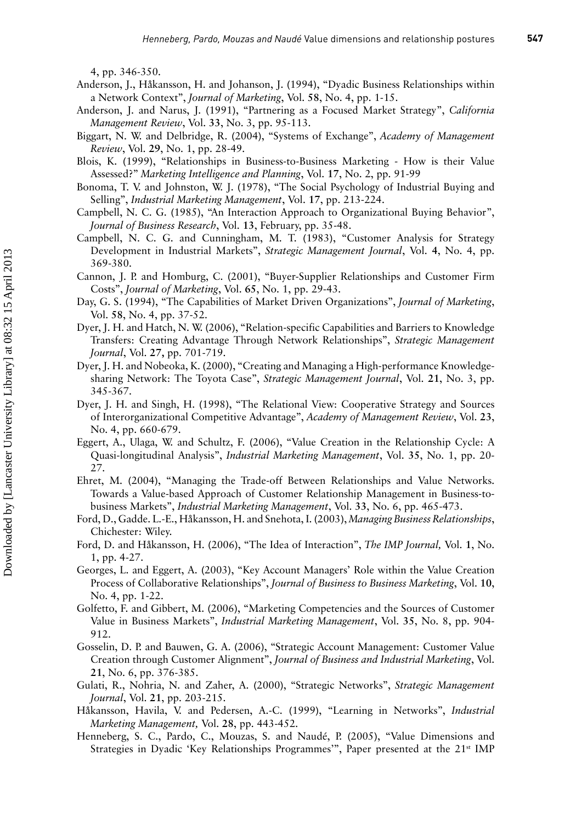4, pp. 346-350.

- Anderson, J., Håkansson, H. and Johanson, J. (1994), "Dyadic Business Relationships within a Network Context", *Journal of Marketing*, Vol. **58**, No. 4, pp. 1-15.
- Anderson, J. and Narus, J. (1991), "Partnering as a Focused Market Strategy", *California Management Review*, Vol. **33**, No. 3, pp. 95-113.
- Biggart, N. W. and Delbridge, R. (2004), "Systems of Exchange", *Academy of Management Review*, Vol. **29**, No. 1, pp. 28-49.
- Blois, K. (1999), "Relationships in Business-to-Business Marketing How is their Value Assessed?" *Marketing Intelligence and Planning*, Vol. **17**, No. 2, pp. 91-99
- Bonoma, T. V. and Johnston, W. J. (1978), "The Social Psychology of Industrial Buying and Selling", *Industrial Marketing Management*, Vol. **17**, pp. 213-224.
- Campbell, N. C. G. (1985), "An Interaction Approach to Organizational Buying Behavior", *Journal of Business Research*, Vol. **13**, February, pp. 35-48.
- Campbell, N. C. G. and Cunningham, M. T. (1983), "Customer Analysis for Strategy Development in Industrial Markets", *Strategic Management Journal*, Vol. **4**, No. 4, pp. 369-380.
- Cannon, J. P. and Homburg, C. (2001), "Buyer-Supplier Relationships and Customer Firm Costs", *Journal of Marketing*, Vol. **65**, No. 1, pp. 29-43.
- Day, G. S. (1994), "The Capabilities of Market Driven Organizations", *Journal of Marketing*, Vol. **58**, No. 4, pp. 37-52.
- Dyer, J. H. and Hatch, N. W. (2006), "Relation-specific Capabilities and Barriers to Knowledge Transfers: Creating Advantage Through Network Relationships", *Strategic Management Journal*, Vol. **27,** pp. 701-719.
- Dyer, J. H. and Nobeoka, K. (2000), "Creating and Managing a High-performance Knowledgesharing Network: The Toyota Case", *Strategic Management Journal*, Vol. **21**, No. 3, pp. 345-367.
- Dyer, J. H. and Singh, H. (1998), "The Relational View: Cooperative Strategy and Sources of Interorganizational Competitive Advantage", *Academy of Management Review*, Vol. **23**, No. 4, pp. 660-679.
- Eggert, A., Ulaga, W. and Schultz, F. (2006), "Value Creation in the Relationship Cycle: A Quasi-longitudinal Analysis", *Industrial Marketing Management*, Vol. **35**, No. 1, pp. 20- 27.
- Ehret, M. (2004), "Managing the Trade-off Between Relationships and Value Networks. Towards a Value-based Approach of Customer Relationship Management in Business-tobusiness Markets", *Industrial Marketing Management*, Vol. **33**, No. 6, pp. 465-473.
- Ford, D., Gadde. L.-E., Håkansson, H. and Snehota, I. (2003), *Managing Business Relationships*, Chichester: Wiley.
- Ford, D. and Håkansson, H. (2006), "The Idea of Interaction", *The IMP Journal,* Vol. **1**, No. 1, pp. 4-27.
- Georges, L. and Eggert, A. (2003), "Key Account Managers' Role within the Value Creation Process of Collaborative Relationships", *Journal of Business to Business Marketing*, Vol. **10**, No. 4, pp. 1-22.
- Golfetto, F. and Gibbert, M. (2006), "Marketing Competencies and the Sources of Customer Value in Business Markets", *Industrial Marketing Management*, Vol. **35**, No. 8, pp. 904- 912.
- Gosselin, D. P. and Bauwen, G. A. (2006), "Strategic Account Management: Customer Value Creation through Customer Alignment", *Journal of Business and Industrial Marketing*, Vol. **21**, No. 6, pp. 376-385.
- Gulati, R., Nohria, N. and Zaher, A. (2000), "Strategic Networks", *Strategic Management Journal*, Vol. **21**, pp. 203-215.
- Håkansson, Havila, V. and Pedersen, A.-C. (1999), "Learning in Networks", *Industrial Marketing Management,* Vol. **28**, pp. 443-452.
- Henneberg, S. C., Pardo, C., Mouzas, S. and Naudé, P. (2005), "Value Dimensions and Strategies in Dyadic 'Key Relationships Programmes'", Paper presented at the 21<sup>st</sup> IMP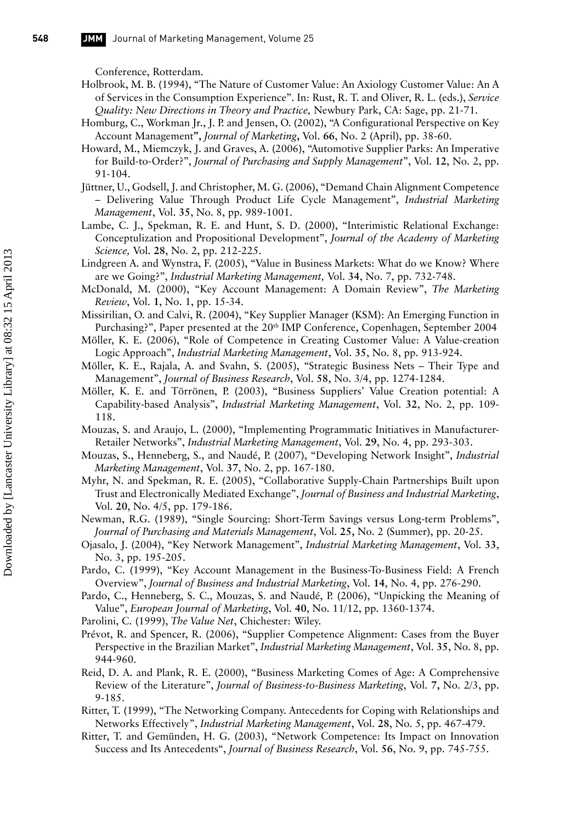Conference, Rotterdam.

- Holbrook, M. B. (1994), "The Nature of Customer Value: An Axiology Customer Value: An A of Services in the Consumption Experience". In: Rust, R. T. and Oliver, R. L. (eds.), *Service Quality: New Directions in Theory and Practice,* Newbury Park, CA: Sage, pp. 21-71.
- Homburg, C., Workman Jr., J. P. and Jensen, O. (2002), "A Configurational Perspective on Key Account Management**",** *Journal of Marketing***,** Vol. **66**, No. 2 (April), pp. 38-60.
- Howard, M., Miemczyk, J. and Graves, A. (2006), "Automotive Supplier Parks: An Imperative for Build-to-Order?", *Journal of Purchasing and Supply Management*", Vol. **12**, No. 2, pp. 91-104.
- Jüttner, U., Godsell, J. and Christopher, M. G. (2006), "Demand Chain Alignment Competence – Delivering Value Through Product Life Cycle Management", *Industrial Marketing Management*, Vol. **35**, No. 8, pp. 989-1001.
- Lambe, C. J., Spekman, R. E. and Hunt, S. D. (2000), "Interimistic Relational Exchange: Conceptulization and Propositional Development", *Journal of the Academy of Marketing Science,* Vol. **28**, No. 2, pp. 212-225.
- Lindgreen A. and Wynstra, F. (2005), "Value in Business Markets: What do we Know? Where are we Going?", *Industrial Marketing Management,* Vol. **34**, No. 7, pp. 732-748.
- McDonald, M. (2000), "Key Account Management: A Domain Review", *The Marketing Review*, Vol. **1**, No. 1, pp. 15-34.
- Missirilian, O. and Calvi, R. (2004), "Key Supplier Manager (KSM): An Emerging Function in Purchasing?", Paper presented at the 20<sup>th</sup> IMP Conference, Copenhagen, September 2004
- Möller, K. E. (2006), "Role of Competence in Creating Customer Value: A Value-creation Logic Approach", *Industrial Marketing Management*, Vol. **35**, No. 8, pp. 913-924.
- Möller, K. E., Rajala, A. and Svahn, S. (2005), "Strategic Business Nets Their Type and Management", *Journal of Business Research*, Vol. **58**, No. 3/4, pp. 1274-1284.
- Möller, K. E. and Törrönen, P. (2003), "Business Suppliers' Value Creation potential: A Capability-based Analysis", *Industrial Marketing Management*, Vol. **32**, No. 2, pp. 109- 118.
- Mouzas, S. and Araujo, L. (2000), "Implementing Programmatic Initiatives in Manufacturer-Retailer Networks", *Industrial Marketing Management*, Vol. **29**, No. 4, pp. 293-303.
- Mouzas, S., Henneberg, S., and Naudé, P. (2007), "Developing Network Insight", *Industrial Marketing Management*, Vol. **37**, No. 2, pp. 167-180.
- Myhr, N. and Spekman, R. E. (2005), "Collaborative Supply-Chain Partnerships Built upon Trust and Electronically Mediated Exchange", *Journal of Business and Industrial Marketing*, Vol. **20**, No. 4/5, pp. 179-186.
- Newman, R.G. (1989), "Single Sourcing: Short-Term Savings versus Long-term Problems", *Journal of Purchasing and Materials Management*, Vol. **25,** No. 2 (Summer), pp. 20-25.
- Ojasalo, J. (2004), "Key Network Management", *Industrial Marketing Management*, Vol. **33**, No. 3, pp. 195-205.
- Pardo, C. (1999), "Key Account Management in the Business-To-Business Field: A French Overview", *Journal of Business and Industrial Marketing*, Vol. **14**, No. 4, pp. 276-290.
- Pardo, C., Henneberg, S. C., Mouzas, S. and Naudé, P. (2006), "Unpicking the Meaning of Value", *European Journal of Marketing*, Vol. **40**, No. 11/12, pp. 1360-1374.
- Parolini, C. (1999), *The Value Net*, Chichester: Wiley.
- Prévot, R. and Spencer, R. (2006), "Supplier Competence Alignment: Cases from the Buyer Perspective in the Brazilian Market", *Industrial Marketing Management*, Vol. **35**, No. 8, pp. 944-960.
- Reid, D. A. and Plank, R. E. (2000), "Business Marketing Comes of Age: A Comprehensive Review of the Literature", *Journal of Business-to-Business Marketing*, Vol. **7,** No. 2/3, pp. 9-185.
- Ritter, T. (1999), "The Networking Company. Antecedents for Coping with Relationships and Networks Effectively", *Industrial Marketing Management*, Vol. **28**, No. 5, pp. 467-479.
- Ritter, T. and Gemünden, H. G. (2003), "Network Competence: Its Impact on Innovation Success and Its Antecedents", *Journal of Business Research*, Vol. **56**, No. 9, pp. 745-755.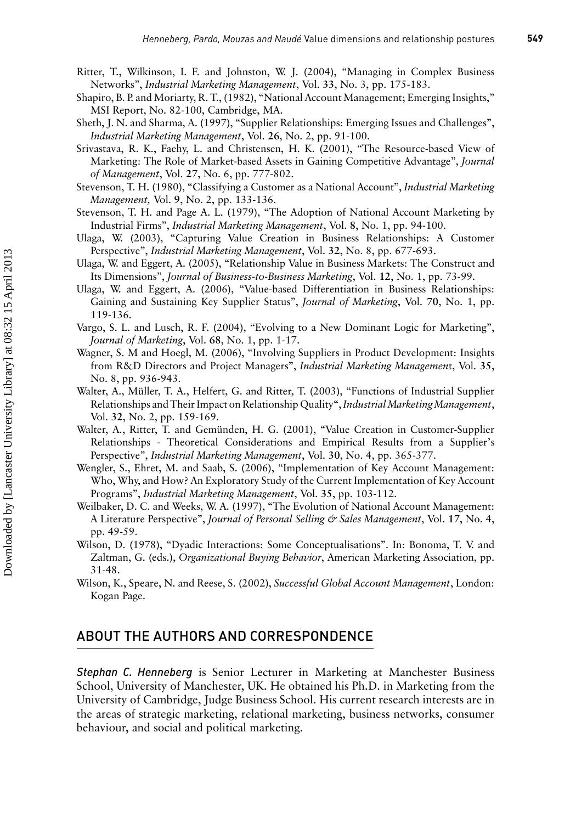- Ritter, T., Wilkinson, I. F. and Johnston, W. J. (2004), "Managing in Complex Business Networks", *Industrial Marketing Management*, Vol. **33**, No. 3, pp. 175-183.
- Shapiro, B. P. and Moriarty, R. T., (1982), "National Account Management; Emerging Insights," MSI Report, No. 82-100, Cambridge, MA.
- Sheth, J. N. and Sharma, A. (1997), "Supplier Relationships: Emerging Issues and Challenges", *Industrial Marketing Management*, Vol. **26**, No. 2, pp. 91-100.
- Srivastava, R. K., Faehy, L. and Christensen, H. K. (2001), "The Resource-based View of Marketing: The Role of Market-based Assets in Gaining Competitive Advantage", *Journal of Management*, Vol. **27**, No. 6, pp. 777-802.
- Stevenson, T. H. (1980), "Classifying a Customer as a National Account", *Industrial Marketing Management,* Vol. **9**, No. 2, pp. 133-136.
- Stevenson, T. H. and Page A. L. (1979), "The Adoption of National Account Marketing by Industrial Firms", *Industrial Marketing Management*, Vol. **8**, No. 1, pp. 94-100.
- Ulaga, W. (2003), "Capturing Value Creation in Business Relationships: A Customer Perspective", *Industrial Marketing Management*, Vol. **32**, No. 8, pp. 677-693.
- Ulaga, W. and Eggert, A. (2005), "Relationship Value in Business Markets: The Construct and Its Dimensions", *Journal of Business-to-Business Marketing*, Vol. **12**, No. 1, pp. 73-99.
- Ulaga, W. and Eggert, A. (2006), "Value-based Differentiation in Business Relationships: Gaining and Sustaining Key Supplier Status", *Journal of Marketing*, Vol. **70**, No. 1, pp. 119-136.
- Vargo, S. L. and Lusch, R. F. (2004), "Evolving to a New Dominant Logic for Marketing", *Journal of Marketing*, Vol. **68**, No. 1, pp. 1-17.
- Wagner, S. M and Hoegl, M. (2006), "Involving Suppliers in Product Development: Insights from R&D Directors and Project Managers", *Industrial Marketing Managemen*t, Vol. **35**, No. 8, pp. 936-943.
- Walter, A., Müller, T. A., Helfert, G. and Ritter, T. (2003), "Functions of Industrial Supplier Relationships and Their Impact on Relationship Quality", *Industrial Marketing Management*, Vol. **32**, No. 2, pp. 159-169.
- Walter, A., Ritter, T. and Gemünden, H. G. (2001), "Value Creation in Customer-Supplier Relationships - Theoretical Considerations and Empirical Results from a Supplier's Perspective", *Industrial Marketing Management*, Vol. **30**, No. 4, pp. 365-377.
- Wengler, S., Ehret, M. and Saab, S. (2006), "Implementation of Key Account Management: Who, Why, and How? An Exploratory Study of the Current Implementation of Key Account Programs", *Industrial Marketing Management*, Vol. **35**, pp. 103-112.
- Weilbaker, D. C. and Weeks, W. A. (1997), "The Evolution of National Account Management: A Literature Perspective", *Journal of Personal Selling & Sales Management*, Vol. **17**, No. 4, pp. 49-59.
- Wilson, D. (1978), "Dyadic Interactions: Some Conceptualisations". In: Bonoma, T. V. and Zaltman, G. (eds.), *Organizational Buying Behavior*, American Marketing Association, pp. 31-48.
- Wilson, K., Speare, N. and Reese, S. (2002), *Successful Global Account Management*, London: Kogan Page.

#### ABOUT THE AUTHORS AND CORRESPONDENCE

*Stephan C. Henneberg* is Senior Lecturer in Marketing at Manchester Business School, University of Manchester, UK. He obtained his Ph.D. in Marketing from the University of Cambridge, Judge Business School. His current research interests are in the areas of strategic marketing, relational marketing, business networks, consumer behaviour, and social and political marketing.